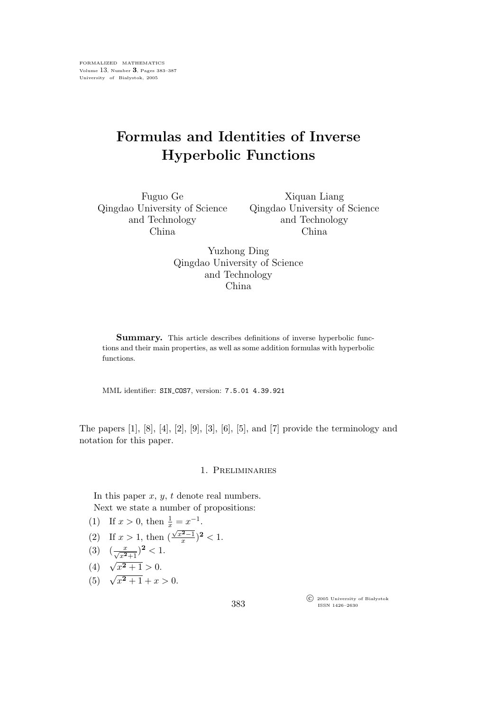## Formulas and Identities of Inverse Hyperbolic Functions

Fuguo Ge Qingdao University of Science and Technology China

Xiquan Liang Qingdao University of Science and Technology China

Yuzhong Ding Qingdao University of Science and Technology China

Summary. This article describes definitions of inverse hyperbolic functions and their main properties, as well as some addition formulas with hyperbolic functions.

MML identifier: SIN COS7, version: 7.5.01 4.39.921

The papers [1], [8], [4], [2], [9], [3], [6], [5], and [7] provide the terminology and notation for this paper.

## 1. Preliminaries

In this paper  $x, y, t$  denote real numbers. Next we state a number of propositions:

- (1) If  $x > 0$ , then  $\frac{1}{x} = x^{-1}$ .
- (2) If  $x > 1$ , then  $\left(\frac{\sqrt{x^2-1}}{x}\right)^2 < 1$ .

$$
(3) \quad (\frac{x}{\sqrt{x^2+1}})^2 < 1.
$$

(4) 
$$
\sqrt{x^2+1} > 0
$$
.

(5)  $\sqrt{x^2+1}+x>0$ .

 $\widehat{\mathbb{C}}$  2005 University of Białystok ISSN 1426–2630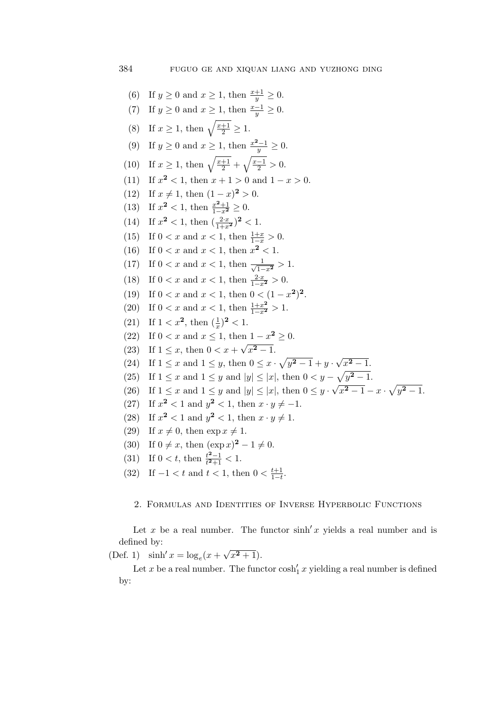(6) If  $y \ge 0$  and  $x \ge 1$ , then  $\frac{x+1}{y} \ge 0$ . (7) If  $y \ge 0$  and  $x \ge 1$ , then  $\frac{x-1}{y} \ge 0$ . (8) If  $x \ge 1$ , then  $\sqrt{\frac{x+1}{2}} \ge 1$ . (9) If  $y \ge 0$  and  $x \ge 1$ , then  $\frac{x^2-1}{y} \ge 0$ . (10) If  $x \geq 1$ , then  $\sqrt{\frac{x+1}{2}} + \sqrt{\frac{x-1}{2}} > 0$ . (11) If  $x^2 < 1$ , then  $x + 1 > 0$  and  $1 - x > 0$ . (12) If  $x \neq 1$ , then  $(1-x)^2 > 0$ . (13) If  $x^2 < 1$ , then  $\frac{x^2+1}{1-x^2} \ge 0$ . (14) If  $x^2 < 1$ , then  $\left(\frac{2 \cdot x}{1+x^2}\right)^2 < 1$ . (15) If  $0 < x$  and  $x < 1$ , then  $\frac{1+x}{1-x} > 0$ . (16) If  $0 < x$  and  $x < 1$ , then  $x^2 < 1$ . (17) If  $0 < x$  and  $x < 1$ , then  $\frac{1}{\sqrt{1-x^2}} > 1$ . (18) If  $0 < x$  and  $x < 1$ , then  $\frac{2 \cdot x}{1 - x^2} > 0$ . (19) If  $0 < x$  and  $x < 1$ , then  $0 < (1 - x^2)^2$ . (20) If  $0 < x$  and  $x < 1$ , then  $\frac{1+x^2}{1-x^2} > 1$ . (21) If  $1 < x^2$ , then  $(\frac{1}{x})^2 < 1$ . (22) If  $0 < x$  and  $x \le 1$ , then  $1 - x^2 \ge 0$ . (23) If  $1 \le x$ , then  $0 < x + \sqrt{x^2 - 1}$ . (24) If  $1 \le x$  and  $1 \le y$ , then  $0 \le x \cdot \sqrt{y^2 - 1} + y \cdot \sqrt{x^2 - 1}$ . (25) If  $1 \le x$  and  $1 \le y$  and  $|y| \le |x|$ , then  $0 < y - \sqrt{y^2 - 1}$ . (26) If  $1 \le x$  and  $1 \le y$  and  $|y| \le |x|$ , then  $0 \le y \cdot \sqrt{x^2 - 1} - x \cdot \sqrt{y^2 - 1}$ . (27) If  $x^2 < 1$  and  $y^2 < 1$ , then  $x \cdot y \neq -1$ . (28) If  $x^2 < 1$  and  $y^2 < 1$ , then  $x \cdot y \neq 1$ . (29) If  $x \neq 0$ , then  $\exp x \neq 1$ . (30) If  $0 \neq x$ , then  $(\exp x)^2 - 1 \neq 0$ . (31) If  $0 < t$ , then  $\frac{t^2-1}{t^2+1} < 1$ . (32) If  $-1 < t$  and  $t < 1$ , then  $0 < \frac{t+1}{1-t}$  $rac{t+1}{1-t}$ .

## 2. Formulas and Identities of Inverse Hyperbolic Functions

Let x be a real number. The functor  $\sinh' x$  yields a real number and is defined by:

(Def. 1)  $\sinh' x = \log_e(x + \sqrt{x^2 + 1}).$ 

Let x be a real number. The functor  $\cosh'_1 x$  yielding a real number is defined by: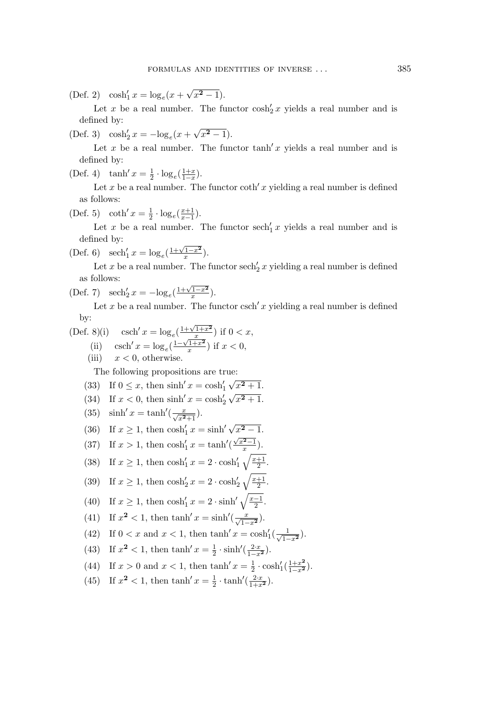(Def. 2)  $\cosh'_1 x = \log_e(x + \sqrt{x^2 - 1}).$ 

Let x be a real number. The functor  $\cosh'_{2} x$  yields a real number and is defined by:

(Def. 3)  $\cosh'_{2} x = -\log_{e}(x + \sqrt{x^{2} - 1}).$ 

Let x be a real number. The functor  $\tanh x$  yields a real number and is defined by:

(Def. 4)  $\tanh' x = \frac{1}{2}$  $\frac{1}{2} \cdot \log_e(\frac{1+x}{1-x})$  $rac{1+x}{1-x}$ ).

Let x be a real number. The functor  $\coth' x$  yielding a real number is defined as follows:

(Def. 5) coth'  $x = \frac{1}{2}$  $\frac{1}{2} \cdot \log_e(\frac{x+1}{x-1})$  $\frac{x+1}{x-1}$ ).

Let x be a real number. The functor  $\operatorname{sech}'_1 x$  yields a real number and is defined by:

(Def. 6) 
$$
\operatorname{sech}'_1 x = \log_e(\frac{1+\sqrt{1-x^2}}{x}).
$$

Let x be a real number. The functor  $\operatorname{sech}'_2 x$  yielding a real number is defined as follows:

(Def. 7) 
$$
\operatorname{sech}'_2 x = -\log_e(\frac{1+\sqrt{1-x^2}}{x}).
$$

Let x be a real number. The functor csch' x yielding a real number is defined by:

.

$$
\begin{array}{ll} \text{(Def. 8)(i)} & \text{csch}'\,x = \log_e\left(\frac{1+\sqrt{1+x^2}}{x}\right) \text{ if } 0 < x, \\ \text{(ii)} & \text{csch}'\,x = \log_e\left(\frac{1-\sqrt{1+x^2}}{x}\right) \text{ if } x < 0, \end{array}
$$

(iii)  $x < 0$ , otherwise.

The following propositions are true:

- (33) If  $0 \le x$ , then  $\sinh' x = \cosh'_1 \sqrt{x^2 + 1}$ .
- (34) If  $x < 0$ , then sinh'  $x = \cosh^2 2 \sqrt{x^2 + 1}$ .

(35) 
$$
\sinh' x = \tanh'(\frac{x}{\sqrt{x^2+1}}).
$$

(36) If 
$$
x \ge 1
$$
, then  $\cosh'_1 x = \sinh' \sqrt{x^2 - 1}$ .

(37) If 
$$
x > 1
$$
, then  $\cosh'_1 x = \tanh'(\frac{\sqrt{x^2-1}}{x})$ .

(38) If 
$$
x \ge 1
$$
, then  $\cosh'_1 x = 2 \cdot \cosh'_1 \sqrt{\frac{x+1}{2}}$ .

(39) If 
$$
x \ge 1
$$
, then  $\cosh_2' x = 2 \cdot \cosh_2' \sqrt{\frac{x+1}{2}}$ 

(40) If 
$$
x \ge 1
$$
, then  $\cosh'_1 x = 2 \cdot \sinh' \sqrt{\frac{x-1}{2}}$ .

(41) If 
$$
x^2 < 1
$$
, then  $\tanh' x = \sinh'(\frac{x}{\sqrt{1-x^2}})$ .

- (42) If  $0 < x$  and  $x < 1$ , then  $\tanh' x = \cosh'_{1}(\frac{1}{\sqrt{1-x^2}})$ .
- (43) If  $x^2 < 1$ , then  $\tanh x = \frac{1}{2}$  $\frac{1}{2} \cdot \sinh'(\frac{2 \cdot x}{1 - x^2}).$
- (44) If  $x > 0$  and  $x < 1$ , then  $\tanh x = \frac{1}{2}$  $\frac{1}{2} \cdot \cosh( \frac{1+x^2}{1-x^2} ).$
- (45) If  $x^2 < 1$ , then  $\tanh x = \frac{1}{2}$  $\frac{1}{2} \cdot \tanh'(\frac{2 \cdot x}{1 + x^2}).$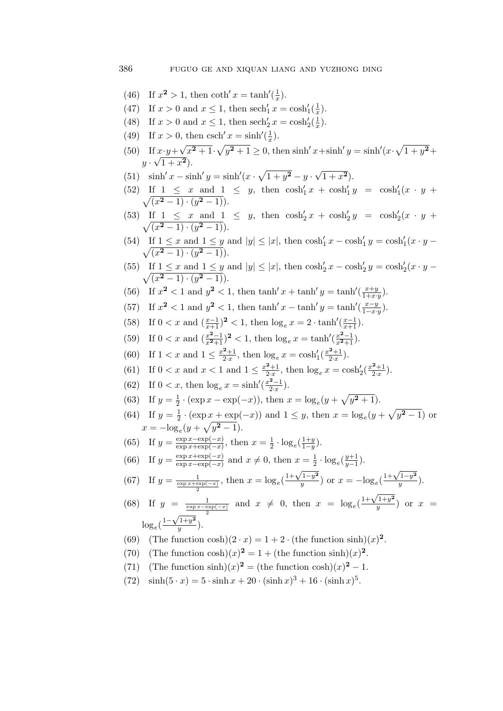- (46) If  $x^2 > 1$ , then coth'  $x = \tanh'(\frac{1}{x})$  $\frac{1}{x}$ ).
- (47) If  $x > 0$  and  $x \le 1$ , then  $\sech'_{1} x = \cosh'_{1}(\frac{1}{x})$  $(\frac{1}{x})$ .
- (48) If  $x > 0$  and  $x \le 1$ , then  $\sech'_{2} x = \cosh'_{2}(\frac{1}{x})$  $(\frac{1}{x})$ .
- (49) If  $x > 0$ , then csch'  $x = \sinh'(\frac{1}{x})$  $(\frac{1}{x})$ .
- (50) If  $x \cdot y + \sqrt{x^2 + 1} \cdot \sqrt{y^2 + 1} \ge 0$ , then sinh'  $x + \sinh'y = \sinh'(x \cdot \sqrt{1 + y^2} + \sqrt{1 + y^2})$  $y \cdot \sqrt{1+x^2}$ .
- (51)  $\sinh' x \sinh' y = \sinh' (x \cdot \sqrt{1 + y^2} y \cdot \sqrt{1 + x^2}).$
- (52) If  $1 \le x$  and  $1 \le y$ , then  $\cosh'_{1} x + \cosh'_{1} y = \cosh'_{1} \sqrt{(x^{2}-1) \cdot (y^{2}-1)}$ .  $(x \cdot y +$  $\overline{(x^2-1)\cdot (y^2-1)}$ .
- (53) If  $1 \le x$  and  $1 \le y$ , then  $\cosh'_{2} x + \cosh'_{2} y = \cosh'_{2} \sqrt{(x^{2}-1) \cdot (y^{2}-1)}$ .  $(x \cdot y +$  $\overline{(x^2-1)\cdot (y^2-1)}$ .
- (54) If  $1 \le x$  and  $1 \le y$  and  $|y| \le |x|$ , then  $\cosh'_1 x \cosh'_1 y = \cosh'_1 \sqrt{(x^2 1) \cdot (y^2 1)}$ .  $(x \cdot y \overline{(x^2-1)\cdot (y^2-1)}$ .
- (55) If  $1 \le x$  and  $1 \le y$  and  $|y| \le |x|$ , then  $\cosh'_{2} x \cosh'_{2} y = \cosh'_{2} \sqrt{(x^{2} 1) \cdot (y^{2} 1)}$ .  $(x \cdot y \overline{(x^2-1)\cdot (y^2-1)}$ .
- (56) If  $x^2 < 1$  and  $y^2 < 1$ , then  $\tanh x + \tanh y = \tanh(\frac{x+y}{1+x})$ .  $rac{x+y}{1+x\cdot y}$ .
- (57) If  $x^2 < 1$  and  $y^2 < 1$ , then  $\tanh' x \tanh' y = \tanh'(\frac{x-y}{1-x})$  $rac{x-y}{1-x\cdot y}$ ).
- (58) If  $0 < x$  and  $\left(\frac{x-1}{x+1}\right)^2 < 1$ , then  $\log_e x = 2 \cdot \tanh\left(\frac{x-1}{x+1}\right)$ .
- (59) If  $0 < x$  and  $\left(\frac{x^2-1}{x^2+1}\right)^2 < 1$ , then  $\log_e x = \tanh'(\frac{x^2-1}{x^2+1})$ .
- (60) If  $1 < x$  and  $1 \leq \frac{x^2+1}{2 \cdot x}$  $\frac{2+1}{2\cdot x}$ , then  $\log_e x = \cosh_1^{\prime} (\frac{x^2+1}{2\cdot x})$  $\frac{x+1}{2x}$ ).
- (61) If  $0 < x$  and  $x < 1$  and  $1 \le \frac{x^2+1}{2 \cdot x}$  $\frac{2+1}{2\cdot x}$ , then  $\log_e x = \cosh'_2(\frac{x^2+1}{2\cdot x})$  $\frac{x+1}{2x}$ ).
- (62) If  $0 < x$ , then  $\log_e x = \sinh'(\frac{x^2-1}{2x})$  $\frac{x-1}{2x}$ ).
- (63) If  $y = \frac{1}{2}$  $\frac{1}{2} \cdot (\exp x - \exp(-x))$ , then  $x = \log_e(y + \sqrt{y^2 + 1})$ .
- (64) If  $y = \frac{1}{2}$  $\frac{1}{2} \cdot (\exp x + \exp(-x))$  and  $1 \leq y$ , then  $x = \log_e(y + \sqrt{y^2 - 1})$  or  $x = -\log_e(y + \sqrt{y^2 - 1}).$
- (65) If  $y = \frac{\exp x \exp(-x)}{\exp x + \exp(-x)}$  $\frac{\exp x - \exp(-x)}{\exp x + \exp(-x)}$ , then  $x = \frac{1}{2}$  $\frac{1}{2} \cdot \log_e(\frac{1+y}{1-y})$  $rac{1+y}{1-y}$ ).
- (66) If  $y = \frac{\exp x + \exp(-x)}{\exp x \exp(-x)}$  $\frac{\exp x + \exp(-x)}{\exp x - \exp(-x)}$  and  $x \neq 0$ , then  $x = \frac{1}{2}$  $\frac{1}{2} \cdot \log_e(\frac{y+1}{y-1})$  $rac{y+1}{y-1}$ ).

(67) If 
$$
y = \frac{1}{\frac{\exp x + \exp(-x)}{2}}
$$
, then  $x = \log_e(\frac{1 + \sqrt{1 - y^2}}{y})$  or  $x = -\log_e(\frac{1 + \sqrt{1 - y^2}}{y})$ .

(68) If 
$$
y = \frac{1}{\frac{\exp x - \exp(-x)}{2}}
$$
 and  $x \neq 0$ , then  $x = \log_e(\frac{1 + \sqrt{1 + y^2}}{y})$  or  $x = \log_e(\frac{1 - \sqrt{1 + y^2}}{y})$ .

- (69) (The function cosh) $(2 \cdot x) = 1 + 2 \cdot (\text{the function sinh})(x)^2$ .
- (70) (The function  $\cosh(x)^2 = 1 + (\text{the function } \sinh)(x)^2$ .
- (71) (The function  $\sinh(x)^2 = (\text{the function } \cosh(x))^2 1$ .
- (72)  $\sinh(5 \cdot x) = 5 \cdot \sinh x + 20 \cdot (\sinh x)^3 + 16 \cdot (\sinh x)^5$ .